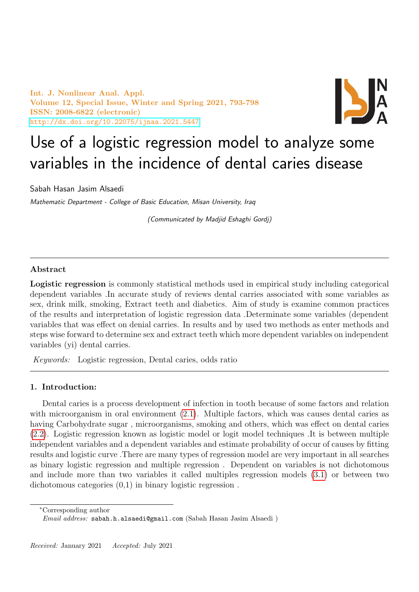Int. J. Nonlinear Anal. Appl. Volume 12, Special Issue, Winter and Spring 2021, 793-798 ISSN: 2008-6822 (electronic) <http://dx.doi.org/10.22075/ijnaa.2021.5447>



# Use of a logistic regression model to analyze some variables in the incidence of dental caries disease

Sabah Hasan Jasim Alsaedi

Mathematic Department - College of Basic Education, Misan University, Iraq

(Communicated by Madjid Eshaghi Gordj)

# Abstract

Logistic regression is commonly statistical methods used in empirical study including categorical dependent variables .In accurate study of reviews dental carries associated with some variables as sex, drink milk, smoking, Extract teeth and diabetics. Aim of study is examine common practices of the results and interpretation of logistic regression data .Determinate some variables (dependent variables that was effect on denial carries. In results and by used two methods as enter methods and steps wise forward to determine sex and extract teeth which more dependent variables on independent variables (yi) dental carries.

Keywords: Logistic regression, Dental caries, odds ratio

## 1. Introduction:

Dental caries is a process development of infection in tooth because of some factors and relation with microorganism in oral environment  $(2.1)$ . Multiple factors, which was causes dental caries as having Carbohydrate sugar , microorganisms, smoking and others, which was effect on dental caries [\(2.2\)](#page-1-1). Logistic regression known as logistic model or logit model techniques .It is between multiple independent variables and a dependent variables and estimate probability of occur of causes by fitting results and logistic curve .There are many types of regression model are very important in all searches as binary logistic regression and multiple regression . Dependent on variables is not dichotomous and include more than two variables it called multiples regression models [\(3.1\)](#page-1-2) or between two dichotomous categories (0,1) in binary logistic regression .

<sup>∗</sup>Corresponding author

Email address: sabah.h.alsaedi@gmail.com (Sabah Hasan Jasim Alsaedi )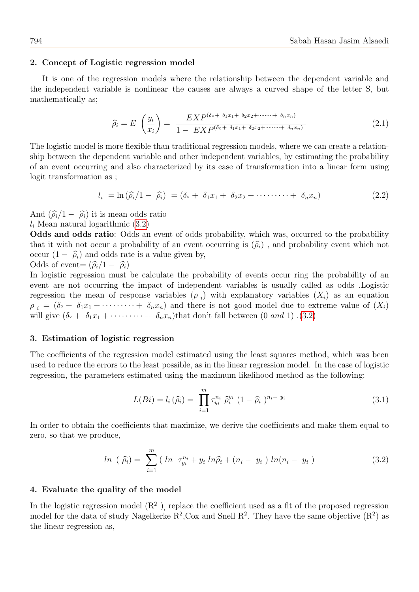#### 2. Concept of Logistic regression model

It is one of the regression models where the relationship between the dependent variable and the independent variable is nonlinear the causes are always a curved shape of the letter S, but mathematically as;

<span id="page-1-0"></span>
$$
\widehat{\rho_i} = E \left( \frac{y_i}{x_i} \right) = \frac{EXP^{(\delta \circ + \delta_1 x_1 + \delta_2 x_2 + \cdots + \delta_n x_n)}}{1 - EXP^{(\delta \circ + \delta_1 x_1 + \delta_2 x_2 + \cdots + \delta_n x_n)}}
$$
(2.1)

The logistic model is more flexible than traditional regression models, where we can create a relationship between the dependent variable and other independent variables, by estimating the probability of an event occurring and also characterized by its ease of transformation into a linear form using logit transformation as ;

<span id="page-1-1"></span>
$$
l_i = \ln(\widehat{\rho}_i/1 - \widehat{\rho}_i) = (\delta \circ + \delta_1 x_1 + \delta_2 x_2 + \cdots + \delta_n x_n) \tag{2.2}
$$

And  $(\widehat{\rho}_i/1 - \widehat{\rho}_i)$  it is mean odds ratio

## $l_i$  Mean natural logarithmic  $(3.2)$

Odds and odds ratio: Odds an event of odds probability, which was, occurred to the probability that it with not occur a probability of an event occurring is  $(\hat{\rho}_i)$ , and probability event which not occur  $(1 - \hat{\rho}_i)$  and odds rate is a value given by,

Odds of event=  $(\hat{\rho}_i/1 - \hat{\rho}_i)$ 

In logistic regression must be calculate the probability of events occur ring the probability of an event are not occurring the impact of independent variables is usually called as odds .Logistic regression the mean of response variables  $(\rho_i)$  with explanatory variables  $(X_i)$  as an equation  $\rho_i = (\delta \circ + \delta_1 x_1 + \cdots + \delta_n x_n)$  and there is not good model due to extreme value of  $(X_i)$ will give  $(\delta \circ + \delta_1 x_1 + \cdots + \delta_n x_n)$ that don't fall between  $(0 \text{ and } 1)$ .  $(3.2)$ 

#### 3. Estimation of logistic regression

The coefficients of the regression model estimated using the least squares method, which was been used to reduce the errors to the least possible, as in the linear regression model. In the case of logistic regression, the parameters estimated using the maximum likelihood method as the following;

<span id="page-1-2"></span>
$$
L(Bi) = l_i(\hat{\rho}_i) = \prod_{i=1}^{m} \tau_{y_i}^{n_i} \hat{\rho}_i^{y_i} (1 - \hat{\rho}_i)^{n_i - y_i}
$$
\n(3.1)

In order to obtain the coefficients that maximize, we derive the coefficients and make them equal to zero, so that we produce,

<span id="page-1-3"></span>
$$
ln(\hat{\rho}_i) = \sum_{i=1}^{m} (ln \tau_{y_i}^{n_i} + y_i ln \hat{\rho}_i + (n_i - y_i) ln(n_i - y_i)
$$
 (3.2)

## 4. Evaluate the quality of the model

In the logistic regression model  $(R^2)$ , replace the coefficient used as a fit of the proposed regression model for the data of study Nagelkerke  $R^2$ , Cox and Snell  $R^2$ . They have the same objective  $(R^2)$  as the linear regression as,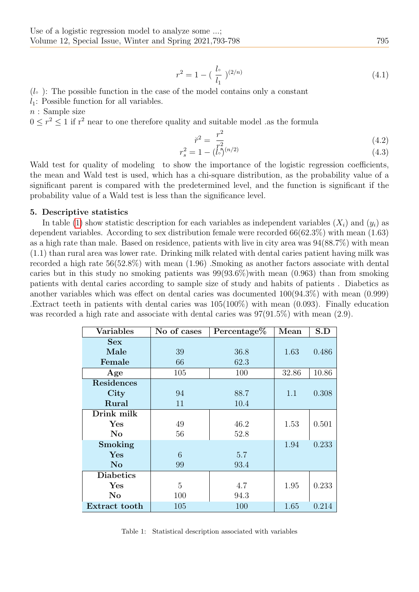$$
r^2 = 1 - \left(\frac{l_{\circ}}{l_1}\right)^{(2/n)}\tag{4.1}
$$

## $(l<sub>o</sub>)$ : The possible function in the case of the model contains only a constant

 $l_1$ : Possible function for all variables.

 $n:$  Sample size

 $0 \leq r^2 \leq 1$  if  $r^2$  near to one therefore quality and suitable model .as the formula

$$
\breve{r}^2 = \frac{r^2}{2} \tag{4.2}
$$

$$
r_s^2 = 1 - \binom{r_s^2}{s^{(n/2)}}\tag{4.3}
$$

Wald test for quality of modeling to show the importance of the logistic regression coefficients, the mean and Wald test is used, which has a chi-square distribution, as the probability value of a significant parent is compared with the predetermined level, and the function is significant if the probability value of a Wald test is less than the significance level.

### 5. Descriptive statistics

In table [\(1\)](#page-2-0) show statistic description for each variables as independent variables  $(X_i)$  and  $(y_i)$  as dependent variables. According to sex distribution female were recorded 66(62.3%) with mean (1.63) as a high rate than male. Based on residence, patients with live in city area was 94(88.7%) with mean (1.1) than rural area was lower rate. Drinking milk related with dental caries patient having milk was recorded a high rate 56(52.8%) with mean (1.96) .Smoking as another factors associate with dental caries but in this study no smoking patients was  $99(93.6\%)$  with mean  $(0.963)$  than from smoking patients with dental caries according to sample size of study and habits of patients . Diabetics as another variables which was effect on dental caries was documented 100(94.3%) with mean (0.999) .Extract teeth in patients with dental caries was 105(100%) with mean (0.093). Finally education was recorded a high rate and associate with dental caries was  $97(91.5\%)$  with mean  $(2.9)$ .

| <b>Variables</b>  | No of cases | Percentage $%$ | Mean  | S.D   |
|-------------------|-------------|----------------|-------|-------|
| <b>Sex</b>        |             |                |       |       |
| Male              | 39          | 36.8           | 1.63  | 0.486 |
| Female            | 66          | 62.3           |       |       |
| Age               | 105         | 100            | 32.86 | 10.86 |
| <b>Residences</b> |             |                |       |       |
| City              | 94          | 88.7           | 1.1   | 0.308 |
| Rural             | 11          | 10.4           |       |       |
| Drink milk        |             |                |       |       |
| Yes               | 49          | 46.2           | 1.53  | 0.501 |
| $\rm No$          | 56          | 52.8           |       |       |
| Smoking           |             |                | 1.94  | 0.233 |
| Yes               | 6           | 5.7            |       |       |
| No                | 99          | 93.4           |       |       |
| <b>Diabetics</b>  |             |                |       |       |
| Yes               | 5           | 4.7            | 1.95  | 0.233 |
| $\rm No$          | 100         | 94.3           |       |       |
| Extract tooth     | 105         | 100            | 1.65  | 0.214 |

<span id="page-2-0"></span>Table 1: Statistical description associated with variables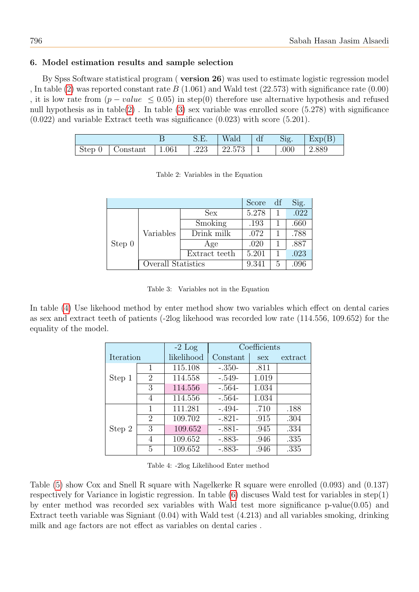## 6. Model estimation results and sample selection

By Spss Software statistical program ( version 26) was used to estimate logistic regression model , In table [\(2\)](#page-3-0) was reported constant rate  $B(1.061)$  and Wald test (22.573) with significance rate (0.00) , it is low rate from  $(p-value \leq 0.05)$  in step(0) therefore use alternative hypothesis and refused null hypothesis as in table[\(2\)](#page-3-0) . In table [\(3\)](#page-3-1) sex variable was enrolled score (5.278) with significance (0.022) and variable Extract teeth was significance (0.023) with score (5.201).

<span id="page-3-0"></span>

|                                 |              | $\mathcal{S}$ .E. | Wald   | df | Sig. | Exp(B)                               |
|---------------------------------|--------------|-------------------|--------|----|------|--------------------------------------|
| $\vert$ Step 0 $\vert$ Constant | $\mid$ 1.061 | .223              | 22.573 |    | .000 | $\begin{array}{c} 2.889 \end{array}$ |

|                     |                    |                | Score | df   | Sig. |
|---------------------|--------------------|----------------|-------|------|------|
| Variables<br>Step 0 | <b>Sex</b>         | 5.278          |       | .022 |      |
|                     |                    | <b>Smoking</b> | .193  |      | .660 |
|                     |                    | Drink milk     | .072  |      | .788 |
|                     |                    | Age            | .020  |      | .887 |
|                     |                    | Extract teeth  | 5.201 |      | .023 |
|                     | Overall Statistics |                | 9.341 | 5    | .096 |

Table 2: Variables in the Equation

Table 3: Variables not in the Equation

<span id="page-3-1"></span>In table [\(4\)](#page-3-2) Use likehood method by enter method show two variables which effect on dental caries as sex and extract teeth of patients (-2log likehood was recorded low rate (114.556, 109.652) for the equality of the model.

|           |                             | $-2$ Log   | Coefficients |            |         |  |
|-----------|-----------------------------|------------|--------------|------------|---------|--|
| Iteration |                             | likelihood | Constant     | <b>Sex</b> | extract |  |
|           | 1                           | 115.108    | $-.350-$     | .811       |         |  |
| Step 1    | 2                           | 114.558    | $-.549-$     | 1.019      |         |  |
|           | 3                           | 114.556    | $-.564-$     | 1.034      |         |  |
|           | 4                           | 114.556    | $-.564-$     | 1.034      |         |  |
|           | 1                           | 111.281    | $-.494-$     | .710       | .188    |  |
|           | $\mathcal{D}_{\mathcal{L}}$ | 109.702    | $-.821-$     | .915       | .304    |  |
| Step 2    | 3                           | 109.652    | $-.881-$     | .945       | .334    |  |
|           | 4                           | 109.652    | $-.883-$     | .946       | .335    |  |
|           | 5                           | 109.652    | $-.883-$     | .946       | .335    |  |

<span id="page-3-2"></span>Table 4: -2log Likelihood Enter method

Table [\(5\)](#page-4-0) show Cox and Snell R square with Nagelkerke R square were enrolled (0.093) and (0.137) respectively for Variance in logistic regression. In table  $(6)$  discusses Wald test for variables in step $(1)$ by enter method was recorded sex variables with Wald test more significance  $p$ -value $(0.05)$  and Extract teeth variable was Signiant (0.04) with Wald test (4.213) and all variables smoking, drinking milk and age factors are not effect as variables on dental caries .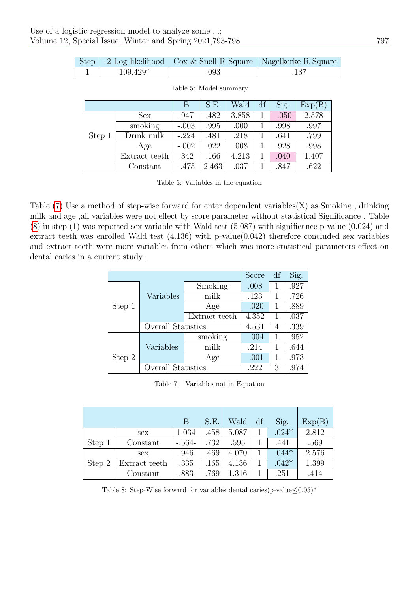|             | Step   -2 Log likelihood   Cox & Snell R Square   Nagelkerke R Square |  |
|-------------|-----------------------------------------------------------------------|--|
| $109.429^a$ | 093                                                                   |  |

|        |               | В       | S.E.  | Wald  | df | Sig. | Exp(B) |
|--------|---------------|---------|-------|-------|----|------|--------|
|        | Sex           | .947    | .482  | 3.858 |    | .050 | 2.578  |
|        | smoking       | $-.003$ | .995  | .000  |    | .998 | .997   |
| Step 1 | Drink milk    | $-.224$ | .481  | .218  |    | .641 | .799   |
|        | Age           | $-.002$ | .022  | .008  |    | .928 | .998   |
|        | Extract teeth | .342    | .166  | 4.213 |    | .040 | 1.407  |
|        | Constant      | $-.475$ | 2.463 | .037  |    | .847 | .622   |

<span id="page-4-1"></span><span id="page-4-0"></span>

| Table 5: Model summary |
|------------------------|
|                        |

Table 6: Variables in the equation

Table  $(7)$  Use a method of step-wise forward for enter dependent variables $(X)$  as Smoking, drinking milk and age ,all variables were not effect by score parameter without statistical Significance . Table [\(8\)](#page-4-3) in step (1) was reported sex variable with Wald test (5.087) with significance p-value (0.024) and extract teeth was enrolled Wald test (4.136) with p-value(0.042) therefore concluded sex variables and extract teeth were more variables from others which was more statistical parameters effect on dental caries in a current study .

|        |                           | Score         | df    | Sig. |      |
|--------|---------------------------|---------------|-------|------|------|
|        |                           | Smoking       | .008  | 1    | .927 |
|        | Variables                 | milk          | .123  | 1    | .726 |
| Step 1 |                           | Age           | .020  | 1    | .889 |
|        |                           | Extract teeth | 4.352 | 1    | .037 |
|        | <b>Overall Statistics</b> |               | 4.531 | 4    | .339 |
|        |                           | smoking       | .004  | 1    | .952 |
|        | Variables                 | milk          | .214  | 1    | .644 |
| Step 2 |                           | Age           | .001  | 1    | .973 |
|        | Overall Statistics        |               | .222  | 3    | .974 |

<span id="page-4-3"></span><span id="page-4-2"></span>Table 7: Variables not in Equation

|        |                   | B        | S.E. | Wald  | df | Sig.    | Exp(B) |
|--------|-------------------|----------|------|-------|----|---------|--------|
|        | <b>Sex</b>        | 1.034    | .458 | 5.087 |    | $.024*$ | 2.812  |
| Step 1 | Constant          | $-.564-$ | .732 | .595  |    | .441    | .569   |
|        | sex               | .946     | .469 | 4.070 |    | $.044*$ | 2.576  |
| Step 2 | Extract teeth     | .335     | .165 | 4.136 |    | $.042*$ | 1.399  |
|        | $\text{Constant}$ | $-.883-$ | .769 | 1.316 |    | .251    | .414   |

Table 8: Step-Wise forward for variables dental caries(p-value $\leq 0.05$ )\*